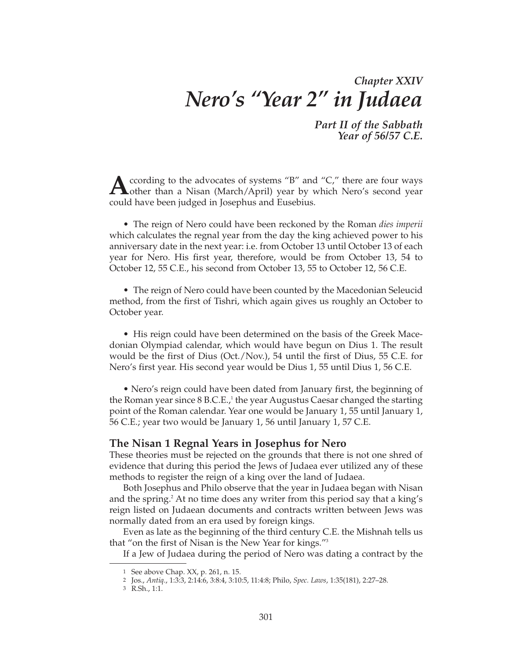# *Chapter XXIV Nero's "Year 2" in Judaea*

*Part II of the Sabbath Year of 56/57 C.E.*

**A**ccording to the advocates of systems "B" and "C," there are four ways other than a Nisan (March /Angil) was the state of the state of the state of the state of the state of the state of the state of the state of the sta **Lother than a Nisan (March/April) year by which Nero's second year** could have been judged in Josephus and Eusebius.

• The reign of Nero could have been reckoned by the Roman *dies imperii* which calculates the regnal year from the day the king achieved power to his anniversary date in the next year: i.e. from October 13 until October 13 of each year for Nero. His first year, therefore, would be from October 13, 54 to October 12, 55 C.E., his second from October 13, 55 to October 12, 56 C.E.

• The reign of Nero could have been counted by the Macedonian Seleucid method, from the first of Tishri, which again gives us roughly an October to October year.

• His reign could have been determined on the basis of the Greek Macedonian Olympiad calendar, which would have begun on Dius 1. The result would be the first of Dius (Oct./Nov.), 54 until the first of Dius, 55 C.E. for Nero's first year. His second year would be Dius 1, 55 until Dius 1, 56 C.E.

• Nero's reign could have been dated from January first, the beginning of the Roman year since  $8$  B.C.E., $\frac{1}{2}$  the year Augustus Caesar changed the starting point of the Roman calendar. Year one would be January 1, 55 until January 1, 56 C.E.; year two would be January 1, 56 until January 1, 57 C.E.

## **The Nisan 1 Regnal Years in Josephus for Nero**

These theories must be rejected on the grounds that there is not one shred of evidence that during this period the Jews of Judaea ever utilized any of these methods to register the reign of a king over the land of Judaea.

Both Josephus and Philo observe that the year in Judaea began with Nisan and the spring.<sup>2</sup> At no time does any writer from this period say that a king's reign listed on Judaean documents and contracts written between Jews was normally dated from an era used by foreign kings.

Even as late as the beginning of the third century C.E. the Mishnah tells us that "on the first of Nisan is the New Year for kings."3

If a Jew of Judaea during the period of Nero was dating a contract by the

<sup>1</sup> See above Chap. XX, p. 261, n. 15.

<sup>2</sup> Jos., *Antiq*., 1:3:3, 2:14:6, 3:8:4, 3:10:5, 11:4:8; Philo, *Spec. Laws*, 1:35(181), 2:27–28.

<sup>3</sup> R.Sh., 1:1.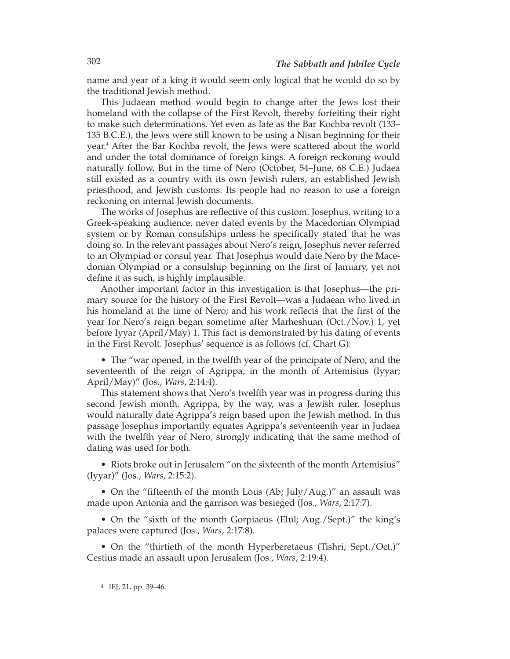name and year of a king it would seem only logical that he would do so by the traditional Jewish method.

This Judaean method would begin to change after the Jews lost their homeland with the collapse of the First Revolt, thereby forfeiting their right to make such determinations. Yet even as late as the Bar Kochba revolt (133– 135 B.C.E.), the Jews were still known to be using a Nisan beginning for their year.4 After the Bar Kochba revolt, the Jews were scattered about the world and under the total dominance of foreign kings. A foreign reckoning would naturally follow. But in the time of Nero (October, 54–June, 68 C.E.) Judaea still existed as a country with its own Jewish rulers, an established Jewish priesthood, and Jewish customs. Its people had no reason to use a foreign reckoning on internal Jewish documents.

The works of Josephus are reflective of this custom. Josephus, writing to a Greek-speaking audience, never dated events by the Macedonian Olympiad system or by Roman consulships unless he specifically stated that he was doing so. In the relevant passages about Nero's reign, Josephus never referred to an Olympiad or consul year. That Josephus would date Nero by the Macedonian Olympiad or a consulship beginning on the first of January, yet not define it as such, is highly implausible.

Another important factor in this investigation is that Josephus—the primary source for the history of the First Revolt—was a Judaean who lived in his homeland at the time of Nero; and his work reflects that the first of the year for Nero's reign began sometime after Marheshuan (Oct./Nov.) 1, yet before Iyyar (April/May) 1. This fact is demonstrated by his dating of events in the First Revolt. Josephus' sequence is as follows (cf. Chart G):

• The "war opened, in the twelfth year of the principate of Nero, and the seventeenth of the reign of Agrippa, in the month of Artemisius (Iyyar; April/May)" (Jos., *Wars*, 2:14:4).

This statement shows that Nero's twelfth year was in progress during this second Jewish month. Agrippa, by the way, was a Jewish ruler. Josephus would naturally date Agrippa's reign based upon the Jewish method. In this passage Josephus importantly equates Agrippa's seventeenth year in Judaea with the twelfth year of Nero, strongly indicating that the same method of dating was used for both.

• Riots broke out in Jerusalem "on the sixteenth of the month Artemisius" (Iyyar)" (Jos., *Wars*, 2:15:2).

• On the "fifteenth of the month Lous (Ab; July/Aug.)" an assault was made upon Antonia and the garrison was besieged (Jos., *Wars*, 2:17:7).

• On the "sixth of the month Gorpiaeus (Elul; Aug./Sept.)" the king's palaces were captured (Jos., *Wars*, 2:17:8).

• On the "thirtieth of the month Hyperberetaeus (Tishri; Sept./Oct.)" Cestius made an assault upon Jerusalem (Jos., *Wars*, 2:19:4).

<sup>4</sup> IEJ, 21, pp. 39–46.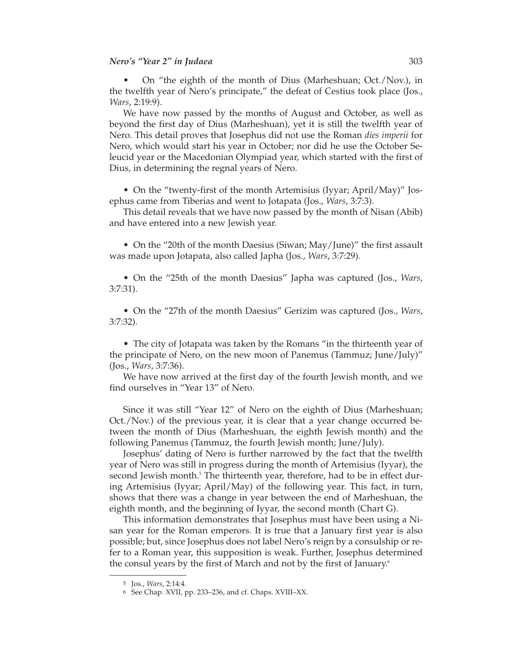• On "the eighth of the month of Dius (Marheshuan; Oct./Nov.), in the twelfth year of Nero's principate," the defeat of Cestius took place (Jos., *Wars*, 2:19:9).

We have now passed by the months of August and October, as well as beyond the first day of Dius (Marheshuan), yet it is still the twelfth year of Nero. This detail proves that Josephus did not use the Roman *dies imperii* for Nero, which would start his year in October; nor did he use the October Seleucid year or the Macedonian Olympiad year, which started with the first of Dius, in determining the regnal years of Nero.

• On the "twenty-first of the month Artemisius (Iyyar; April/May)" Josephus came from Tiberias and went to Jotapata (Jos., *Wars*, 3:7:3).

This detail reveals that we have now passed by the month of Nisan (Abib) and have entered into a new Jewish year.

• On the "20th of the month Daesius (Siwan; May/June)" the first assault was made upon Jotapata, also called Japha (Jos., *Wars*, 3:7:29).

• On the "25th of the month Daesius" Japha was captured (Jos., *Wars*, 3:7:31).

• On the "27th of the month Daesius" Gerizim was captured (Jos., *Wars*, 3:7:32).

• The city of Jotapata was taken by the Romans "in the thirteenth year of the principate of Nero, on the new moon of Panemus (Tammuz; June/July)" (Jos., *Wars*, 3:7:36).

We have now arrived at the first day of the fourth Jewish month, and we find ourselves in "Year 13" of Nero.

Since it was still "Year 12" of Nero on the eighth of Dius (Marheshuan; Oct./Nov.) of the previous year, it is clear that a year change occurred between the month of Dius (Marheshuan, the eighth Jewish month) and the following Panemus (Tammuz, the fourth Jewish month; June/July).

Josephus' dating of Nero is further narrowed by the fact that the twelfth year of Nero was still in progress during the month of Artemisius (Iyyar), the second Jewish month.<sup>5</sup> The thirteenth year, therefore, had to be in effect during Artemisius (Iyyar; April/May) of the following year. This fact, in turn, shows that there was a change in year between the end of Marheshuan, the eighth month, and the beginning of Iyyar, the second month (Chart G).

This information demonstrates that Josephus must have been using a Nisan year for the Roman emperors. It is true that a January first year is also possible; but, since Josephus does not label Nero's reign by a consulship or re fer to a Roman year, this supposition is weak. Further, Josephus determined the consul years by the first of March and not by the first of January.<sup>6</sup>

<sup>5</sup> Jos., *Wars*, 2:14:4.

<sup>6</sup> See Chap. XVII, pp. 233–236, and cf. Chaps. XVIII–XX.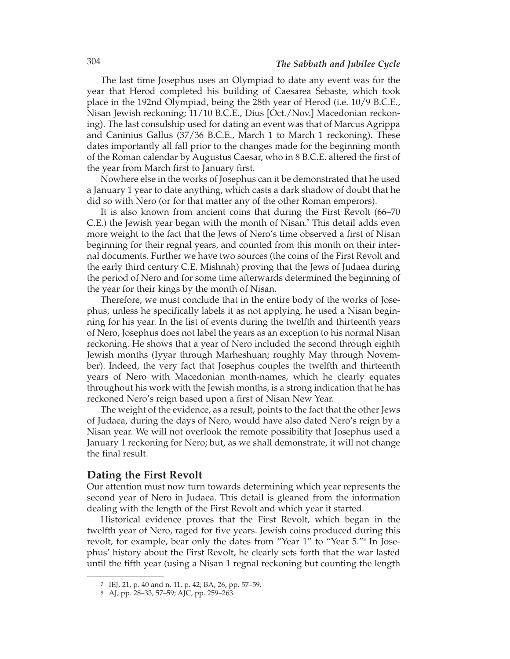The last time Josephus uses an Olympiad to date any event was for the year that Herod completed his building of Caesarea Sebaste, which took place in the 192nd Olympiad, being the 28th year of Herod (i.e. 10/9 B.C.E., Nisan Jewish reckoning; 11/10 B.C.E., Dius [Oct./Nov.] Macedonian reckoning). The last consulship used for dating an event was that of Marcus Agrippa and Caninius Gallus (37/36 B.C.E., March 1 to March 1 reckoning). These dates importantly all fall prior to the changes made for the beginning month of the Roman calendar by Augustus Caesar, who in 8 B.C.E. altered the first of the year from March first to January first.

Nowhere else in the works of Josephus can it be demonstrated that he used a January 1 year to date anything, which casts a dark shadow of doubt that he did so with Nero (or for that matter any of the other Roman emperors).

It is also known from ancient coins that during the First Revolt (66–70 C.E.) the Jewish year began with the month of Nisan.7 This detail adds even more weight to the fact that the Jews of Nero's time observed a first of Nisan beginning for their regnal years, and counted from this month on their internal documents. Further we have two sources (the coins of the First Revolt and the early third century C.E. Mishnah) proving that the Jews of Judaea during the period of Nero and for some time afterwards determined the beginning of the year for their kings by the month of Nisan.

Therefore, we must conclude that in the entire body of the works of Josephus, unless he specifically labels it as not applying, he used a Nisan beginning for his year. In the list of events during the twelfth and thirteenth years of Nero, Josephus does not label the years as an exception to his normal Nisan reckoning. He shows that a year of Nero included the second through eighth Jewish months (Iyyar through Marheshuan; roughly May through November). Indeed, the very fact that Josephus couples the twelfth and thirteenth years of Nero with Macedonian month-names, which he clearly equates through out his work with the Jewish months, is a strong indication that he has reckoned Nero's reign based upon a first of Nisan New Year.

The weight of the evidence, as a result, points to the fact that the other Jews of Judaea, during the days of Nero, would have also dated Nero's reign by a Nisan year. We will not overlook the remote possibility that Josephus used a January 1 reckoning for Nero; but, as we shall demonstrate, it will not change the final result.

## **Dating the First Revolt**

Our attention must now turn towards determining which year represents the second year of Nero in Judaea. This detail is gleaned from the information dealing with the length of the First Revolt and which year it started.

Historical evidence proves that the First Revolt, which began in the twelfth year of Nero, raged for five years. Jewish coins produced during this revolt, for example, bear only the dates from "Year 1" to "Year 5."<sup>8</sup> In Josephus' history about the First Revolt, he clearly sets forth that the war lasted until the fifth year (using a Nisan 1 regnal reckoning but counting the length

<sup>7</sup> IEJ, 21, p. 40 and n. 11, p. 42; BA, 26, pp. 57–59.

<sup>8</sup> AJ, pp. 28–33, 57–59; AJC, pp. 259–263.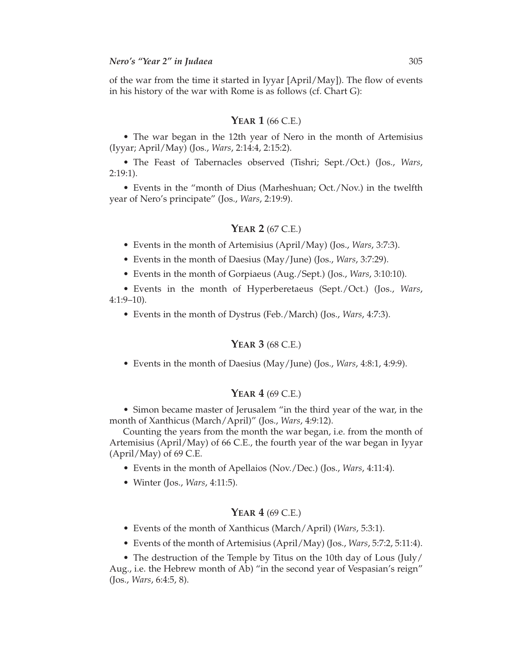of the war from the time it started in Iyyar [April/May]). The flow of events in his history of the war with Rome is as follows (cf. Chart G):

#### **YEAR 1** (66 C.E.)

• The war began in the 12th year of Nero in the month of Artemisius (Iyyar; April/May) (Jos., *Wars*, 2:14:4, 2:15:2).

• The Feast of Tabernacles observed (Tishri; Sept./Oct.) (Jos., *Wars*, 2:19:1).

• Events in the "month of Dius (Marheshuan; Oct./Nov.) in the twelfth year of Nero's principate" (Jos., *Wars*, 2:19:9).

## **YEAR 2** (67 C.E.)

• Events in the month of Artemisius (April/May) (Jos., *Wars*, 3:7:3).

• Events in the month of Daesius (May/June) (Jos., *Wars*, 3:7:29).

• Events in the month of Gorpiaeus (Aug./Sept.) (Jos., *Wars*, 3:10:10).

• Events in the month of Hyperberetaeus (Sept./Oct.) (Jos., *Wars*, 4:1:9–10).

• Events in the month of Dystrus (Feb./March) (Jos., *Wars*, 4:7:3).

### **YEAR 3** (68 C.E.)

• Events in the month of Daesius (May/June) (Jos., *Wars*, 4:8:1, 4:9:9).

## **YEAR 4** (69 C.E.)

• Simon became master of Jerusalem "in the third year of the war, in the month of Xanthicus (March/April)" (Jos., *Wars*, 4:9:12).

Counting the years from the month the war began, i.e. from the month of Artemisius (April/May) of 66 C.E., the fourth year of the war began in Iyyar  $(April/May)$  of 69 C.E.

- Events in the month of Apellaios (Nov./Dec.) (Jos., *Wars*, 4:11:4).
- Winter (Jos., *Wars*, 4:11:5).

## **YEAR 4** (69 C.E.)

- Events of the month of Xanthicus (March/April) (*Wars*, 5:3:1).
- Events of the month of Artemisius (April/May) (Jos., *Wars*, 5:7:2, 5:11:4).

• The destruction of the Temple by Titus on the 10th day of Lous (July/ Aug., i.e. the Hebrew month of Ab) "in the second year of Vespasian's reign"

(Jos., *Wars*, 6:4:5, 8).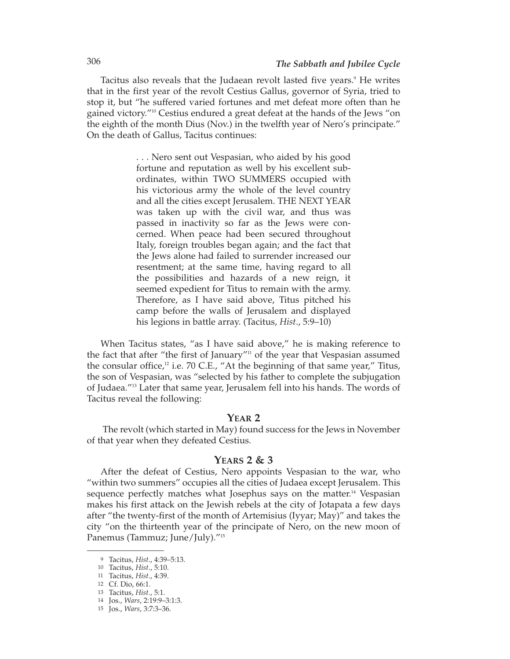Tacitus also reveals that the Judaean revolt lasted five years.<sup>9</sup> He writes that in the first year of the revolt Cestius Gallus, governor of Syria, tried to stop it, but "he suffered varied fortunes and met defeat more often than he gained victory."10 Cestius endured a great defeat at the hands of the Jews "on the eighth of the month Dius (Nov.) in the twelfth year of Nero's principate." On the death of Gallus, Tacitus continues:

> . . . Nero sent out Vespasian, who aided by his good fortune and reputation as well by his excellent subordinates, within TWO SUMMERS occupied with his victorious army the whole of the level country and all the cities except Jerusalem. THE NEXT YEAR was taken up with the civil war, and thus was passed in inactivity so far as the Jews were concerned. When peace had been secured throughout Italy, foreign troubles began again; and the fact that the Jews alone had failed to surrender increased our resentment; at the same time, having regard to all the possibilities and hazards of a new reign, it seemed expedient for Titus to remain with the army. Therefore, as I have said above, Titus pitched his camp before the walls of Jerusalem and displayed his legions in battle array. (Tacitus, *Hist*., 5:9–10)

When Tacitus states, "as I have said above," he is making reference to the fact that after "the first of January" $\frac{1}{10}$  of the year that Vespasian assumed the consular office, $12$  i.e. 70 C.E., "At the beginning of that same year," Titus, the son of Vespasian, was "selected by his father to complete the subjugation of Judaea."13 Later that same year, Jerusalem fell into his hands. The words of Tacitus reveal the following:

### **YEAR 2**

The revolt (which started in May) found success for the Jews in November of that year when they defeated Cestius.

## **YEARS 2 & 3**

After the defeat of Cestius, Nero appoints Vespasian to the war, who "within two summers" occupies all the cities of Judaea except Jerusalem. This sequence perfectly matches what Josephus says on the matter.<sup>14</sup> Vespasian makes his first attack on the Jewish rebels at the city of Jotapata a few days after "the twenty-first of the month of Artemisius (Iyyar; May)" and takes the city "on the thirteenth year of the principate of Nero, on the new moon of Panemus (Tammuz; June/July)."<sup>15</sup>

<sup>9</sup> Tacitus, *Hist*., 4:39–5:13.

<sup>10</sup> Tacitus, *Hist*., 5:10.

<sup>11</sup> Tacitus, *Hist*., 4:39.

<sup>12</sup> Cf. Dio, 66:1.

<sup>13</sup> Tacitus, *Hist*., 5:1.

<sup>14</sup> Jos., *Wars*, 2:19:9–3:1:3.

<sup>15</sup> Jos., *Wars*, 3:7:3–36.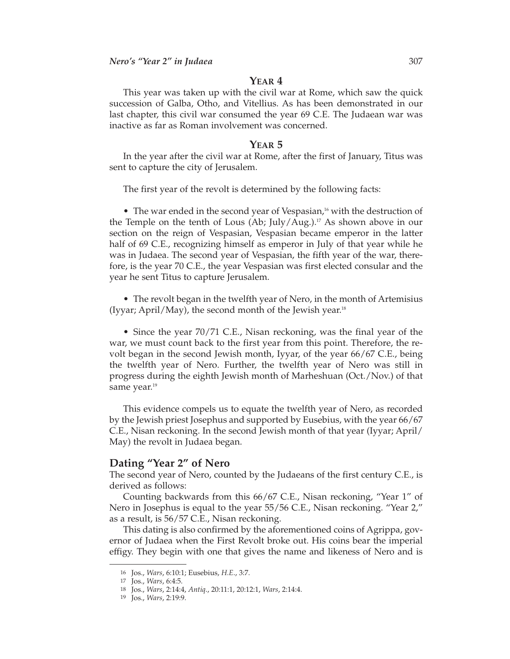## **YEAR 4**

This year was taken up with the civil war at Rome, which saw the quick succession of Galba, Otho, and Vitellius. As has been demonstrated in our last chapter, this civil war consumed the year 69 C.E. The Judaean war was inactive as far as Roman involvement was concerned.

#### **YEAR 5**

In the year after the civil war at Rome, after the first of January, Titus was sent to capture the city of Jerusalem.

The first year of the revolt is determined by the following facts:

• The war ended in the second year of Vespasian,<sup>16</sup> with the destruction of the Temple on the tenth of Lous (Ab; July/Aug.).<sup>17</sup> As shown above in our section on the reign of Vespasian, Vespasian became emperor in the latter half of 69 C.E., recognizing himself as emperor in July of that year while he was in Judaea. The second year of Vespasian, the fifth year of the war, therefore, is the year 70 C.E., the year Vespasian was first elected consular and the year he sent Titus to capture Jerusalem.

• The revolt began in the twelfth year of Nero, in the month of Artemisius (Iyyar; April/May), the second month of the Jewish year.<sup>18</sup>

• Since the year 70/71 C.E., Nisan reckoning, was the final year of the war, we must count back to the first year from this point. Therefore, the revolt began in the second Jewish month, Iyyar, of the year 66/67 C.E., being the twelfth year of Nero. Further, the twelfth year of Nero was still in progress during the eighth Jewish month of Marheshuan (Oct./Nov.) of that same year.<sup>19</sup>

This evidence compels us to equate the twelfth year of Nero, as recorded by the Jewish priest Josephus and supported by Eusebius, with the year 66/67 C.E., Nisan reckoning. In the second Jewish month of that year (Iyyar; April/ May) the revolt in Judaea began.

## **Dating "Year 2" of Nero**

The second year of Nero, counted by the Judaeans of the first century C.E., is derived as follows:

Counting backwards from this 66/67 C.E., Nisan reckoning, "Year 1" of Nero in Josephus is equal to the year 55/56 C.E., Nisan reckoning. "Year 2," as a result, is 56/57 C.E., Nisan reckoning.

This dating is also confirmed by the aforementioned coins of Agrippa, governor of Judaea when the First Revolt broke out. His coins bear the imperial effigy. They begin with one that gives the name and likeness of Nero and is

<sup>16</sup> Jos., *Wars*, 6:10:1; Eusebius, *H.E*., 3:7.

<sup>17</sup> Jos., *Wars*, 6:4:5.

<sup>18</sup> Jos., *Wars*, 2:14:4, *Antiq*., 20:11:1, 20:12:1, *Wars*, 2:14:4.

<sup>19</sup> Jos., *Wars*, 2:19:9.